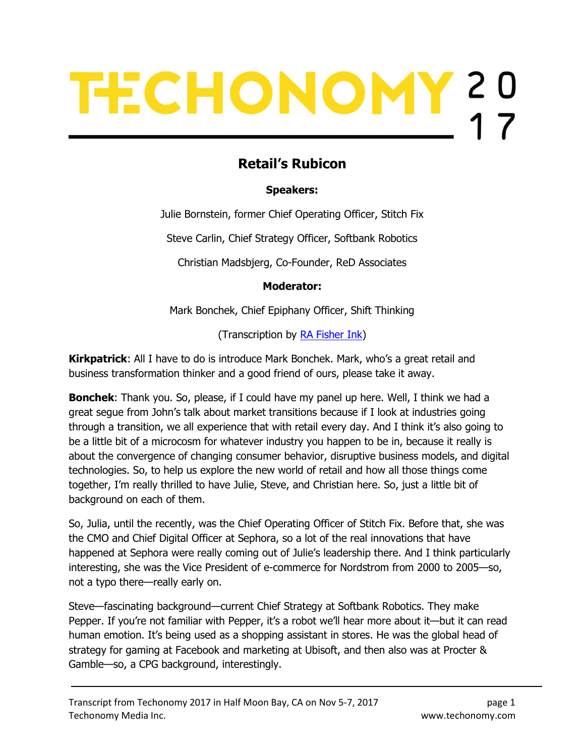# TECHONOMY 20

# Retail's Rubicon

### Speakers:

Julie Bornstein, former Chief Operating Officer, Stitch Fix

Steve Carlin, Chief Strategy Officer, Softbank Robotics

Christian Madsbjerg, Co-Founder, ReD Associates

### Moderator:

Mark Bonchek, Chief Epiphany Officer, Shift Thinking

(Transcription by **RA Fisher Ink**)

**Kirkpatrick:** All I have to do is introduce Mark Bonchek. Mark, who's a great retail and business transformation thinker and a good friend of ours, please take it away.

**Bonchek:** Thank you. So, please, if I could have my panel up here. Well, I think we had a great segue from John's talk about market transitions because if I look at industries going through a transition, we all experience that with retail every day. And I think it's also going to be a little bit of a microcosm for whatever industry you happen to be in, because it really is about the convergence of changing consumer behavior, disruptive business models, and digital technologies. So, to help us explore the new world of retail and how all those things come together, I'm really thrilled to have Julie, Steve, and Christian here. So, just a little bit of background on each of them.

So, Julia, until the recently, was the Chief Operating Officer of Stitch Fix. Before that, she was the CMO and Chief Digital Officer at Sephora, so a lot of the real innovations that have happened at Sephora were really coming out of Julie's leadership there. And I think particularly interesting, she was the Vice President of e-commerce for Nordstrom from 2000 to 2005—so, not a typo there—really early on.

Steve—fascinating background—current Chief Strategy at Softbank Robotics. They make Pepper. If you're not familiar with Pepper, it's a robot we'll hear more about it—but it can read human emotion. It's being used as a shopping assistant in stores. He was the global head of strategy for gaming at Facebook and marketing at Ubisoft, and then also was at Procter & Gamble—so, a CPG background, interestingly.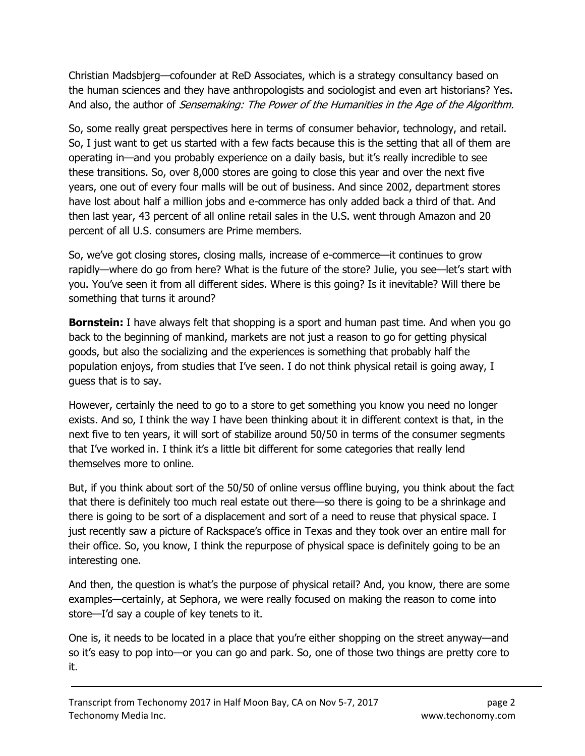Christian Madsbjerg—cofounder at ReD Associates, which is a strategy consultancy based on the human sciences and they have anthropologists and sociologist and even art historians? Yes. And also, the author of Sensemaking: The Power of the Humanities in the Age of the Algorithm.

So, some really great perspectives here in terms of consumer behavior, technology, and retail. So, I just want to get us started with a few facts because this is the setting that all of them are operating in—and you probably experience on a daily basis, but it's really incredible to see these transitions. So, over 8,000 stores are going to close this year and over the next five years, one out of every four malls will be out of business. And since 2002, department stores have lost about half a million jobs and e-commerce has only added back a third of that. And then last year, 43 percent of all online retail sales in the U.S. went through Amazon and 20 percent of all U.S. consumers are Prime members.

So, we've got closing stores, closing malls, increase of e-commerce—it continues to grow rapidly—where do go from here? What is the future of the store? Julie, you see—let's start with you. You've seen it from all different sides. Where is this going? Is it inevitable? Will there be something that turns it around?

**Bornstein:** I have always felt that shopping is a sport and human past time. And when you go back to the beginning of mankind, markets are not just a reason to go for getting physical goods, but also the socializing and the experiences is something that probably half the population enjoys, from studies that I've seen. I do not think physical retail is going away, I guess that is to say.

However, certainly the need to go to a store to get something you know you need no longer exists. And so, I think the way I have been thinking about it in different context is that, in the next five to ten years, it will sort of stabilize around 50/50 in terms of the consumer segments that I've worked in. I think it's a little bit different for some categories that really lend themselves more to online.

But, if you think about sort of the 50/50 of online versus offline buying, you think about the fact that there is definitely too much real estate out there—so there is going to be a shrinkage and there is going to be sort of a displacement and sort of a need to reuse that physical space. I just recently saw a picture of Rackspace's office in Texas and they took over an entire mall for their office. So, you know, I think the repurpose of physical space is definitely going to be an interesting one.

And then, the question is what's the purpose of physical retail? And, you know, there are some examples—certainly, at Sephora, we were really focused on making the reason to come into store—I'd say a couple of key tenets to it.

One is, it needs to be located in a place that you're either shopping on the street anyway—and so it's easy to pop into—or you can go and park. So, one of those two things are pretty core to it.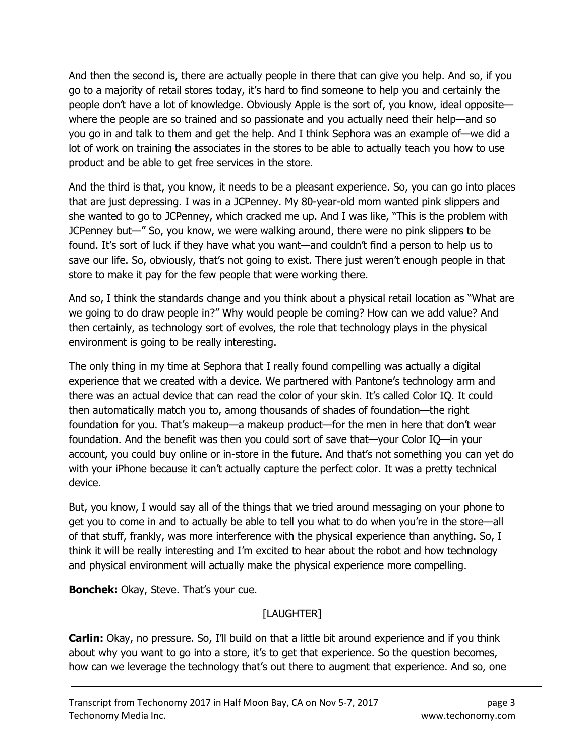And then the second is, there are actually people in there that can give you help. And so, if you go to a majority of retail stores today, it's hard to find someone to help you and certainly the people don't have a lot of knowledge. Obviously Apple is the sort of, you know, ideal opposite where the people are so trained and so passionate and you actually need their help—and so you go in and talk to them and get the help. And I think Sephora was an example of—we did a lot of work on training the associates in the stores to be able to actually teach you how to use product and be able to get free services in the store.

And the third is that, you know, it needs to be a pleasant experience. So, you can go into places that are just depressing. I was in a JCPenney. My 80-year-old mom wanted pink slippers and she wanted to go to JCPenney, which cracked me up. And I was like, "This is the problem with JCPenney but—" So, you know, we were walking around, there were no pink slippers to be found. It's sort of luck if they have what you want—and couldn't find a person to help us to save our life. So, obviously, that's not going to exist. There just weren't enough people in that store to make it pay for the few people that were working there.

And so, I think the standards change and you think about a physical retail location as "What are we going to do draw people in?" Why would people be coming? How can we add value? And then certainly, as technology sort of evolves, the role that technology plays in the physical environment is going to be really interesting.

The only thing in my time at Sephora that I really found compelling was actually a digital experience that we created with a device. We partnered with Pantone's technology arm and there was an actual device that can read the color of your skin. It's called Color IQ. It could then automatically match you to, among thousands of shades of foundation—the right foundation for you. That's makeup—a makeup product—for the men in here that don't wear foundation. And the benefit was then you could sort of save that—your Color IQ—in your account, you could buy online or in-store in the future. And that's not something you can yet do with your iPhone because it can't actually capture the perfect color. It was a pretty technical device.

But, you know, I would say all of the things that we tried around messaging on your phone to get you to come in and to actually be able to tell you what to do when you're in the store—all of that stuff, frankly, was more interference with the physical experience than anything. So, I think it will be really interesting and I'm excited to hear about the robot and how technology and physical environment will actually make the physical experience more compelling.

**Bonchek:** Okay, Steve. That's your cue.

# [LAUGHTER]

**Carlin:** Okay, no pressure. So, I'll build on that a little bit around experience and if you think about why you want to go into a store, it's to get that experience. So the question becomes, how can we leverage the technology that's out there to augment that experience. And so, one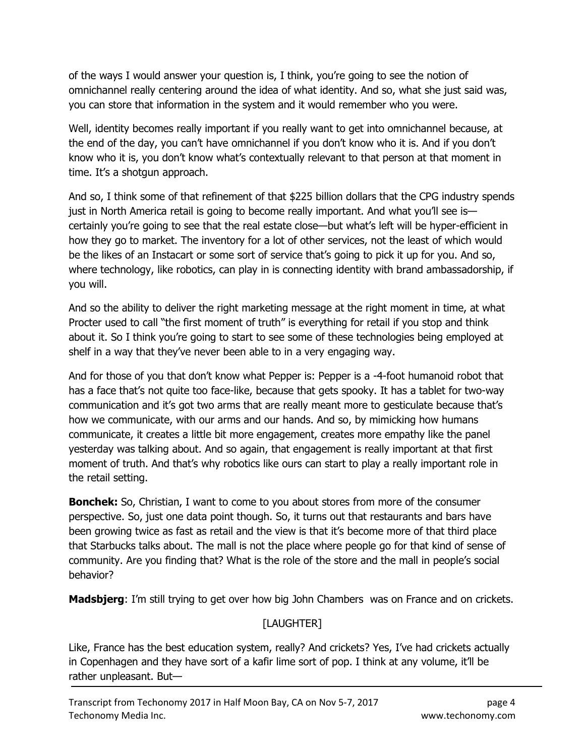of the ways I would answer your question is, I think, you're going to see the notion of omnichannel really centering around the idea of what identity. And so, what she just said was, you can store that information in the system and it would remember who you were.

Well, identity becomes really important if you really want to get into omnichannel because, at the end of the day, you can't have omnichannel if you don't know who it is. And if you don't know who it is, you don't know what's contextually relevant to that person at that moment in time. It's a shotgun approach.

And so, I think some of that refinement of that \$225 billion dollars that the CPG industry spends just in North America retail is going to become really important. And what you'll see is certainly you're going to see that the real estate close—but what's left will be hyper-efficient in how they go to market. The inventory for a lot of other services, not the least of which would be the likes of an Instacart or some sort of service that's going to pick it up for you. And so, where technology, like robotics, can play in is connecting identity with brand ambassadorship, if you will.

And so the ability to deliver the right marketing message at the right moment in time, at what Procter used to call "the first moment of truth" is everything for retail if you stop and think about it. So I think you're going to start to see some of these technologies being employed at shelf in a way that they've never been able to in a very engaging way.

And for those of you that don't know what Pepper is: Pepper is a -4-foot humanoid robot that has a face that's not quite too face-like, because that gets spooky. It has a tablet for two-way communication and it's got two arms that are really meant more to gesticulate because that's how we communicate, with our arms and our hands. And so, by mimicking how humans communicate, it creates a little bit more engagement, creates more empathy like the panel yesterday was talking about. And so again, that engagement is really important at that first moment of truth. And that's why robotics like ours can start to play a really important role in the retail setting.

**Bonchek:** So, Christian, I want to come to you about stores from more of the consumer perspective. So, just one data point though. So, it turns out that restaurants and bars have been growing twice as fast as retail and the view is that it's become more of that third place that Starbucks talks about. The mall is not the place where people go for that kind of sense of community. Are you finding that? What is the role of the store and the mall in people's social behavior?

**Madsbjerg:** I'm still trying to get over how big John Chambers was on France and on crickets.

# [LAUGHTER]

Like, France has the best education system, really? And crickets? Yes, I've had crickets actually in Copenhagen and they have sort of a kafir lime sort of pop. I think at any volume, it'll be rather unpleasant. But—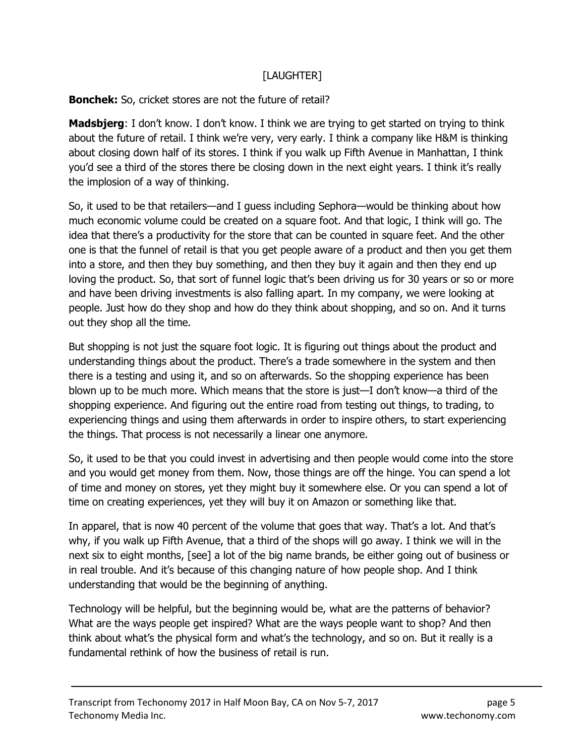### [LAUGHTER]

### Bonchek: So, cricket stores are not the future of retail?

**Madsbjerg**: I don't know. I don't know. I think we are trying to get started on trying to think about the future of retail. I think we're very, very early. I think a company like H&M is thinking about closing down half of its stores. I think if you walk up Fifth Avenue in Manhattan, I think you'd see a third of the stores there be closing down in the next eight years. I think it's really the implosion of a way of thinking.

So, it used to be that retailers—and I guess including Sephora—would be thinking about how much economic volume could be created on a square foot. And that logic, I think will go. The idea that there's a productivity for the store that can be counted in square feet. And the other one is that the funnel of retail is that you get people aware of a product and then you get them into a store, and then they buy something, and then they buy it again and then they end up loving the product. So, that sort of funnel logic that's been driving us for 30 years or so or more and have been driving investments is also falling apart. In my company, we were looking at people. Just how do they shop and how do they think about shopping, and so on. And it turns out they shop all the time.

But shopping is not just the square foot logic. It is figuring out things about the product and understanding things about the product. There's a trade somewhere in the system and then there is a testing and using it, and so on afterwards. So the shopping experience has been blown up to be much more. Which means that the store is just—I don't know—a third of the shopping experience. And figuring out the entire road from testing out things, to trading, to experiencing things and using them afterwards in order to inspire others, to start experiencing the things. That process is not necessarily a linear one anymore.

So, it used to be that you could invest in advertising and then people would come into the store and you would get money from them. Now, those things are off the hinge. You can spend a lot of time and money on stores, yet they might buy it somewhere else. Or you can spend a lot of time on creating experiences, yet they will buy it on Amazon or something like that.

In apparel, that is now 40 percent of the volume that goes that way. That's a lot. And that's why, if you walk up Fifth Avenue, that a third of the shops will go away. I think we will in the next six to eight months, [see] a lot of the big name brands, be either going out of business or in real trouble. And it's because of this changing nature of how people shop. And I think understanding that would be the beginning of anything.

Technology will be helpful, but the beginning would be, what are the patterns of behavior? What are the ways people get inspired? What are the ways people want to shop? And then think about what's the physical form and what's the technology, and so on. But it really is a fundamental rethink of how the business of retail is run.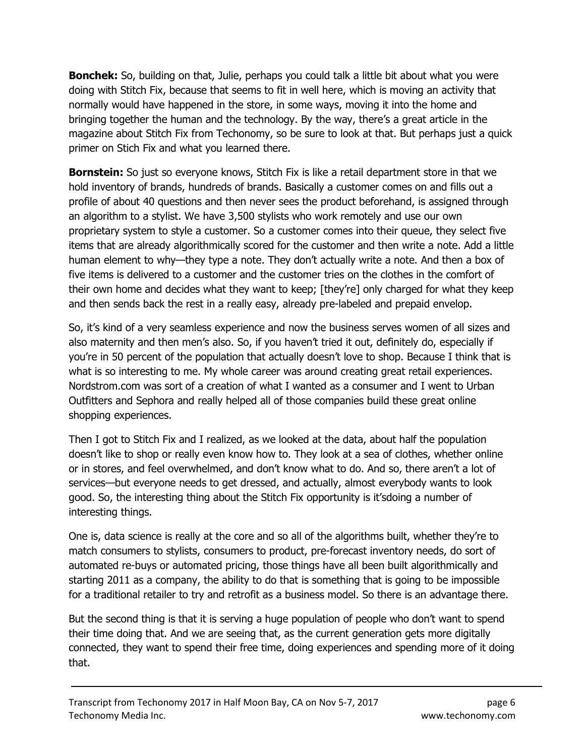Bonchek: So, building on that, Julie, perhaps you could talk a little bit about what you were doing with Stitch Fix, because that seems to fit in well here, which is moving an activity that normally would have happened in the store, in some ways, moving it into the home and bringing together the human and the technology. By the way, there's a great article in the magazine about Stitch Fix from Techonomy, so be sure to look at that. But perhaps just a quick primer on Stich Fix and what you learned there.

**Bornstein:** So just so everyone knows, Stitch Fix is like a retail department store in that we hold inventory of brands, hundreds of brands. Basically a customer comes on and fills out a profile of about 40 questions and then never sees the product beforehand, is assigned through an algorithm to a stylist. We have 3,500 stylists who work remotely and use our own proprietary system to style a customer. So a customer comes into their queue, they select five items that are already algorithmically scored for the customer and then write a note. Add a little human element to why—they type a note. They don't actually write a note. And then a box of five items is delivered to a customer and the customer tries on the clothes in the comfort of their own home and decides what they want to keep; [they're] only charged for what they keep and then sends back the rest in a really easy, already pre-labeled and prepaid envelop.

So, it's kind of a very seamless experience and now the business serves women of all sizes and also maternity and then men's also. So, if you haven't tried it out, definitely do, especially if you're in 50 percent of the population that actually doesn't love to shop. Because I think that is what is so interesting to me. My whole career was around creating great retail experiences. Nordstrom.com was sort of a creation of what I wanted as a consumer and I went to Urban Outfitters and Sephora and really helped all of those companies build these great online shopping experiences.

Then I got to Stitch Fix and I realized, as we looked at the data, about half the population doesn't like to shop or really even know how to. They look at a sea of clothes, whether online or in stores, and feel overwhelmed, and don't know what to do. And so, there aren't a lot of services—but everyone needs to get dressed, and actually, almost everybody wants to look good. So, the interesting thing about the Stitch Fix opportunity is it'sdoing a number of interesting things.

One is, data science is really at the core and so all of the algorithms built, whether they're to match consumers to stylists, consumers to product, pre-forecast inventory needs, do sort of automated re-buys or automated pricing, those things have all been built algorithmically and starting 2011 as a company, the ability to do that is something that is going to be impossible for a traditional retailer to try and retrofit as a business model. So there is an advantage there.

But the second thing is that it is serving a huge population of people who don't want to spend their time doing that. And we are seeing that, as the current generation gets more digitally connected, they want to spend their free time, doing experiences and spending more of it doing that.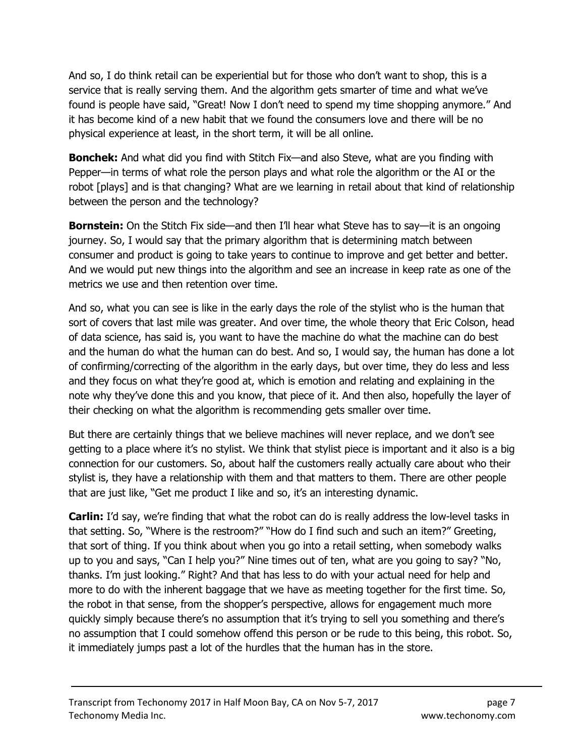And so, I do think retail can be experiential but for those who don't want to shop, this is a service that is really serving them. And the algorithm gets smarter of time and what we've found is people have said, "Great! Now I don't need to spend my time shopping anymore." And it has become kind of a new habit that we found the consumers love and there will be no physical experience at least, in the short term, it will be all online.

**Bonchek:** And what did you find with Stitch Fix—and also Steve, what are you finding with Pepper—in terms of what role the person plays and what role the algorithm or the AI or the robot [plays] and is that changing? What are we learning in retail about that kind of relationship between the person and the technology?

**Bornstein:** On the Stitch Fix side—and then I'll hear what Steve has to say—it is an ongoing journey. So, I would say that the primary algorithm that is determining match between consumer and product is going to take years to continue to improve and get better and better. And we would put new things into the algorithm and see an increase in keep rate as one of the metrics we use and then retention over time.

And so, what you can see is like in the early days the role of the stylist who is the human that sort of covers that last mile was greater. And over time, the whole theory that Eric Colson, head of data science, has said is, you want to have the machine do what the machine can do best and the human do what the human can do best. And so, I would say, the human has done a lot of confirming/correcting of the algorithm in the early days, but over time, they do less and less and they focus on what they're good at, which is emotion and relating and explaining in the note why they've done this and you know, that piece of it. And then also, hopefully the layer of their checking on what the algorithm is recommending gets smaller over time.

But there are certainly things that we believe machines will never replace, and we don't see getting to a place where it's no stylist. We think that stylist piece is important and it also is a big connection for our customers. So, about half the customers really actually care about who their stylist is, they have a relationship with them and that matters to them. There are other people that are just like, "Get me product I like and so, it's an interesting dynamic.

**Carlin:** I'd say, we're finding that what the robot can do is really address the low-level tasks in that setting. So, "Where is the restroom?" "How do I find such and such an item?" Greeting, that sort of thing. If you think about when you go into a retail setting, when somebody walks up to you and says, "Can I help you?" Nine times out of ten, what are you going to say? "No, thanks. I'm just looking." Right? And that has less to do with your actual need for help and more to do with the inherent baggage that we have as meeting together for the first time. So, the robot in that sense, from the shopper's perspective, allows for engagement much more quickly simply because there's no assumption that it's trying to sell you something and there's no assumption that I could somehow offend this person or be rude to this being, this robot. So, it immediately jumps past a lot of the hurdles that the human has in the store.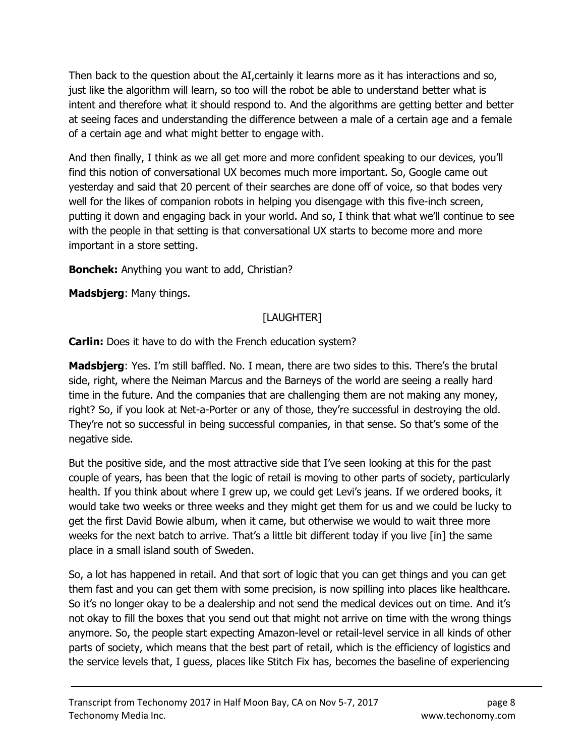Then back to the question about the AI,certainly it learns more as it has interactions and so, just like the algorithm will learn, so too will the robot be able to understand better what is intent and therefore what it should respond to. And the algorithms are getting better and better at seeing faces and understanding the difference between a male of a certain age and a female of a certain age and what might better to engage with.

And then finally, I think as we all get more and more confident speaking to our devices, you'll find this notion of conversational UX becomes much more important. So, Google came out yesterday and said that 20 percent of their searches are done off of voice, so that bodes very well for the likes of companion robots in helping you disengage with this five-inch screen, putting it down and engaging back in your world. And so, I think that what we'll continue to see with the people in that setting is that conversational UX starts to become more and more important in a store setting.

Bonchek: Anything you want to add, Christian?

Madsbjerg: Many things.

# [LAUGHTER]

**Carlin:** Does it have to do with the French education system?

**Madsbjerg**: Yes. I'm still baffled. No. I mean, there are two sides to this. There's the brutal side, right, where the Neiman Marcus and the Barneys of the world are seeing a really hard time in the future. And the companies that are challenging them are not making any money, right? So, if you look at Net-a-Porter or any of those, they're successful in destroying the old. They're not so successful in being successful companies, in that sense. So that's some of the negative side.

But the positive side, and the most attractive side that I've seen looking at this for the past couple of years, has been that the logic of retail is moving to other parts of society, particularly health. If you think about where I grew up, we could get Levi's jeans. If we ordered books, it would take two weeks or three weeks and they might get them for us and we could be lucky to get the first David Bowie album, when it came, but otherwise we would to wait three more weeks for the next batch to arrive. That's a little bit different today if you live [in] the same place in a small island south of Sweden.

So, a lot has happened in retail. And that sort of logic that you can get things and you can get them fast and you can get them with some precision, is now spilling into places like healthcare. So it's no longer okay to be a dealership and not send the medical devices out on time. And it's not okay to fill the boxes that you send out that might not arrive on time with the wrong things anymore. So, the people start expecting Amazon-level or retail-level service in all kinds of other parts of society, which means that the best part of retail, which is the efficiency of logistics and the service levels that, I guess, places like Stitch Fix has, becomes the baseline of experiencing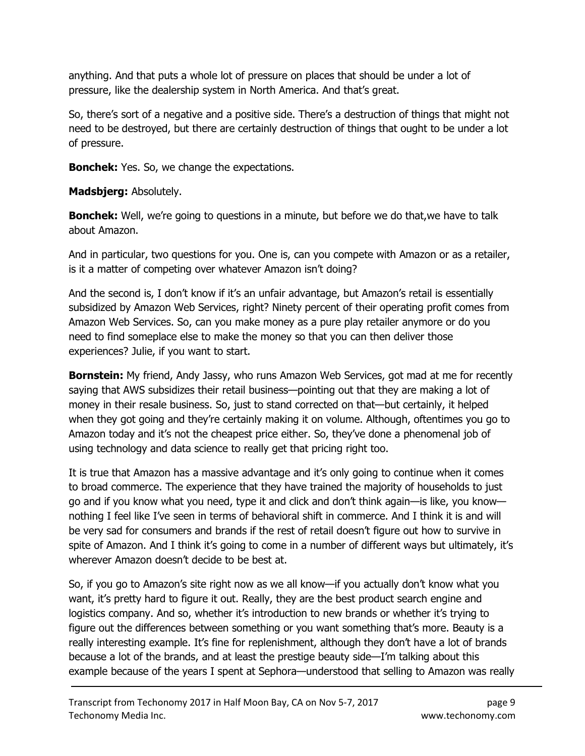anything. And that puts a whole lot of pressure on places that should be under a lot of pressure, like the dealership system in North America. And that's great.

So, there's sort of a negative and a positive side. There's a destruction of things that might not need to be destroyed, but there are certainly destruction of things that ought to be under a lot of pressure.

**Bonchek:** Yes. So, we change the expectations.

Madsbjerg: Absolutely.

**Bonchek:** Well, we're going to questions in a minute, but before we do that, we have to talk about Amazon.

And in particular, two questions for you. One is, can you compete with Amazon or as a retailer, is it a matter of competing over whatever Amazon isn't doing?

And the second is, I don't know if it's an unfair advantage, but Amazon's retail is essentially subsidized by Amazon Web Services, right? Ninety percent of their operating profit comes from Amazon Web Services. So, can you make money as a pure play retailer anymore or do you need to find someplace else to make the money so that you can then deliver those experiences? Julie, if you want to start.

**Bornstein:** My friend, Andy Jassy, who runs Amazon Web Services, got mad at me for recently saying that AWS subsidizes their retail business—pointing out that they are making a lot of money in their resale business. So, just to stand corrected on that—but certainly, it helped when they got going and they're certainly making it on volume. Although, oftentimes you go to Amazon today and it's not the cheapest price either. So, they've done a phenomenal job of using technology and data science to really get that pricing right too.

It is true that Amazon has a massive advantage and it's only going to continue when it comes to broad commerce. The experience that they have trained the majority of households to just go and if you know what you need, type it and click and don't think again—is like, you know nothing I feel like I've seen in terms of behavioral shift in commerce. And I think it is and will be very sad for consumers and brands if the rest of retail doesn't figure out how to survive in spite of Amazon. And I think it's going to come in a number of different ways but ultimately, it's wherever Amazon doesn't decide to be best at.

So, if you go to Amazon's site right now as we all know—if you actually don't know what you want, it's pretty hard to figure it out. Really, they are the best product search engine and logistics company. And so, whether it's introduction to new brands or whether it's trying to figure out the differences between something or you want something that's more. Beauty is a really interesting example. It's fine for replenishment, although they don't have a lot of brands because a lot of the brands, and at least the prestige beauty side—I'm talking about this example because of the years I spent at Sephora—understood that selling to Amazon was really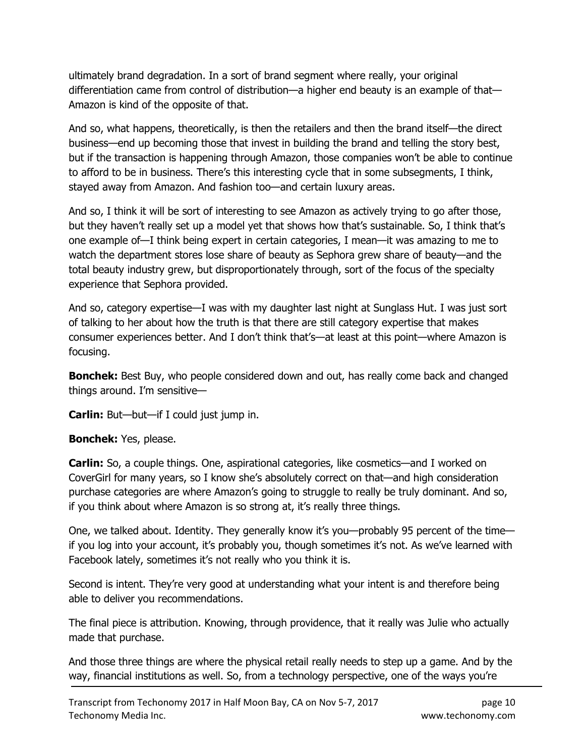ultimately brand degradation. In a sort of brand segment where really, your original differentiation came from control of distribution—a higher end beauty is an example of that— Amazon is kind of the opposite of that.

And so, what happens, theoretically, is then the retailers and then the brand itself—the direct business—end up becoming those that invest in building the brand and telling the story best, but if the transaction is happening through Amazon, those companies won't be able to continue to afford to be in business. There's this interesting cycle that in some subsegments, I think, stayed away from Amazon. And fashion too—and certain luxury areas.

And so, I think it will be sort of interesting to see Amazon as actively trying to go after those, but they haven't really set up a model yet that shows how that's sustainable. So, I think that's one example of—I think being expert in certain categories, I mean—it was amazing to me to watch the department stores lose share of beauty as Sephora grew share of beauty—and the total beauty industry grew, but disproportionately through, sort of the focus of the specialty experience that Sephora provided.

And so, category expertise—I was with my daughter last night at Sunglass Hut. I was just sort of talking to her about how the truth is that there are still category expertise that makes consumer experiences better. And I don't think that's—at least at this point—where Amazon is focusing.

**Bonchek:** Best Buy, who people considered down and out, has really come back and changed things around. I'm sensitive—

Carlin: But—but—if I could just jump in.

### Bonchek: Yes, please.

**Carlin:** So, a couple things. One, aspirational categories, like cosmetics—and I worked on CoverGirl for many years, so I know she's absolutely correct on that—and high consideration purchase categories are where Amazon's going to struggle to really be truly dominant. And so, if you think about where Amazon is so strong at, it's really three things.

One, we talked about. Identity. They generally know it's you—probably 95 percent of the time if you log into your account, it's probably you, though sometimes it's not. As we've learned with Facebook lately, sometimes it's not really who you think it is.

Second is intent. They're very good at understanding what your intent is and therefore being able to deliver you recommendations.

The final piece is attribution. Knowing, through providence, that it really was Julie who actually made that purchase.

And those three things are where the physical retail really needs to step up a game. And by the way, financial institutions as well. So, from a technology perspective, one of the ways you're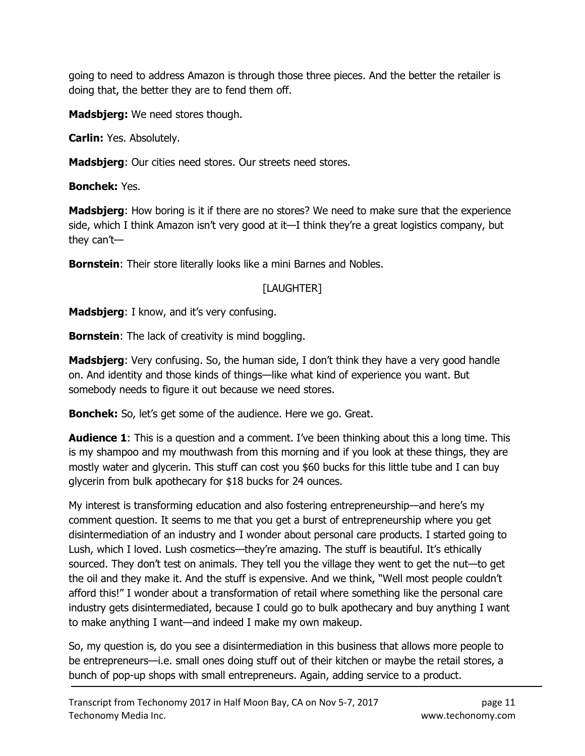going to need to address Amazon is through those three pieces. And the better the retailer is doing that, the better they are to fend them off.

**Madsbjerg:** We need stores though.

Carlin: Yes. Absolutely.

Madsbjerg: Our cities need stores. Our streets need stores.

Bonchek: Yes.

**Madsbjerg:** How boring is it if there are no stores? We need to make sure that the experience side, which I think Amazon isn't very good at it—I think they're a great logistics company, but they can't—

**Bornstein:** Their store literally looks like a mini Barnes and Nobles.

# [LAUGHTER]

**Madsbjerg:** I know, and it's very confusing.

**Bornstein:** The lack of creativity is mind boggling.

**Madsbjerg**: Very confusing. So, the human side, I don't think they have a very good handle on. And identity and those kinds of things—like what kind of experience you want. But somebody needs to figure it out because we need stores.

**Bonchek:** So, let's get some of the audience. Here we go. Great.

**Audience 1:** This is a question and a comment. I've been thinking about this a long time. This is my shampoo and my mouthwash from this morning and if you look at these things, they are mostly water and glycerin. This stuff can cost you \$60 bucks for this little tube and I can buy glycerin from bulk apothecary for \$18 bucks for 24 ounces.

My interest is transforming education and also fostering entrepreneurship—and here's my comment question. It seems to me that you get a burst of entrepreneurship where you get disintermediation of an industry and I wonder about personal care products. I started going to Lush, which I loved. Lush cosmetics—they're amazing. The stuff is beautiful. It's ethically sourced. They don't test on animals. They tell you the village they went to get the nut—to get the oil and they make it. And the stuff is expensive. And we think, "Well most people couldn't afford this!" I wonder about a transformation of retail where something like the personal care industry gets disintermediated, because I could go to bulk apothecary and buy anything I want to make anything I want—and indeed I make my own makeup.

So, my question is, do you see a disintermediation in this business that allows more people to be entrepreneurs—i.e. small ones doing stuff out of their kitchen or maybe the retail stores, a bunch of pop-up shops with small entrepreneurs. Again, adding service to a product.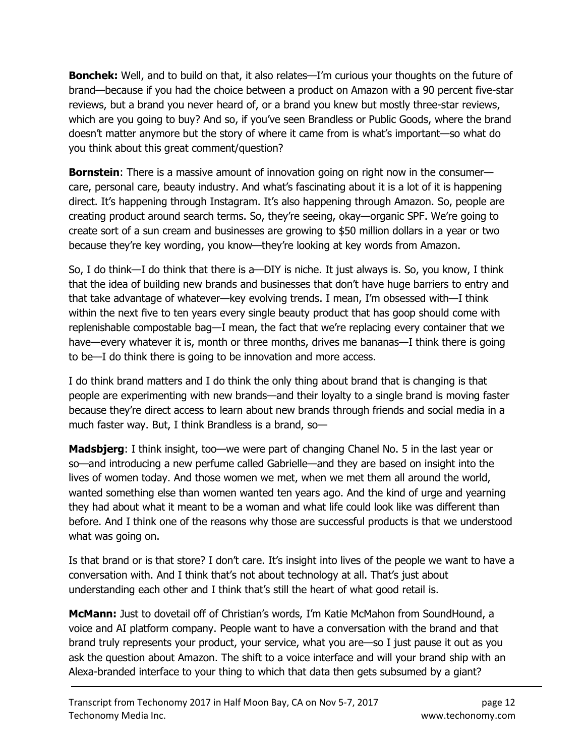**Bonchek:** Well, and to build on that, it also relates—I'm curious your thoughts on the future of brand—because if you had the choice between a product on Amazon with a 90 percent five-star reviews, but a brand you never heard of, or a brand you knew but mostly three-star reviews, which are you going to buy? And so, if you've seen Brandless or Public Goods, where the brand doesn't matter anymore but the story of where it came from is what's important—so what do you think about this great comment/question?

**Bornstein:** There is a massive amount of innovation going on right now in the consumer care, personal care, beauty industry. And what's fascinating about it is a lot of it is happening direct. It's happening through Instagram. It's also happening through Amazon. So, people are creating product around search terms. So, they're seeing, okay—organic SPF. We're going to create sort of a sun cream and businesses are growing to \$50 million dollars in a year or two because they're key wording, you know—they're looking at key words from Amazon.

So, I do think—I do think that there is a—DIY is niche. It just always is. So, you know, I think that the idea of building new brands and businesses that don't have huge barriers to entry and that take advantage of whatever—key evolving trends. I mean, I'm obsessed with—I think within the next five to ten years every single beauty product that has goop should come with replenishable compostable bag—I mean, the fact that we're replacing every container that we have—every whatever it is, month or three months, drives me bananas—I think there is going to be—I do think there is going to be innovation and more access.

I do think brand matters and I do think the only thing about brand that is changing is that people are experimenting with new brands—and their loyalty to a single brand is moving faster because they're direct access to learn about new brands through friends and social media in a much faster way. But, I think Brandless is a brand, so—

**Madsbjerg**: I think insight, too—we were part of changing Chanel No. 5 in the last year or so—and introducing a new perfume called Gabrielle—and they are based on insight into the lives of women today. And those women we met, when we met them all around the world, wanted something else than women wanted ten years ago. And the kind of urge and yearning they had about what it meant to be a woman and what life could look like was different than before. And I think one of the reasons why those are successful products is that we understood what was going on.

Is that brand or is that store? I don't care. It's insight into lives of the people we want to have a conversation with. And I think that's not about technology at all. That's just about understanding each other and I think that's still the heart of what good retail is.

**McMann:** Just to dovetail off of Christian's words, I'm Katie McMahon from SoundHound, a voice and AI platform company. People want to have a conversation with the brand and that brand truly represents your product, your service, what you are—so I just pause it out as you ask the question about Amazon. The shift to a voice interface and will your brand ship with an Alexa-branded interface to your thing to which that data then gets subsumed by a giant?